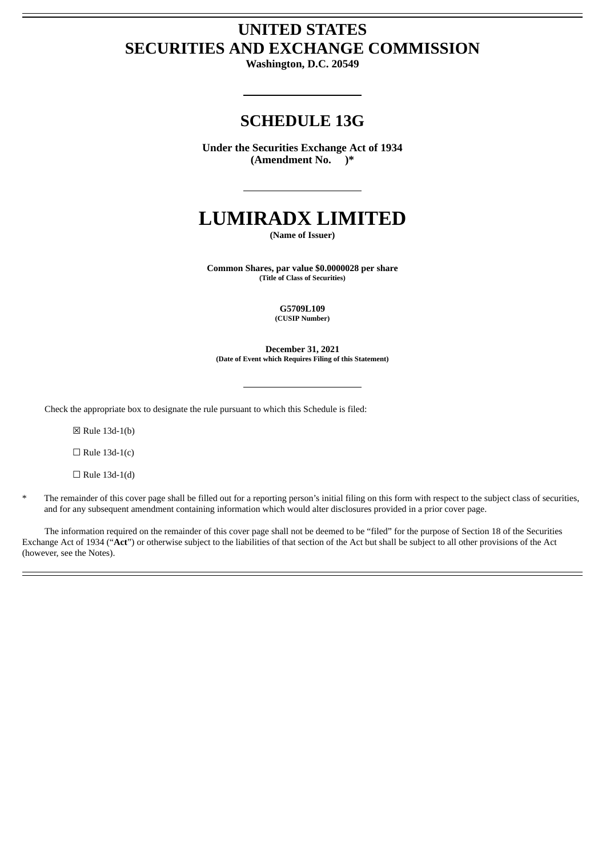## **UNITED STATES SECURITIES AND EXCHANGE COMMISSION**

**Washington, D.C. 20549**

### **SCHEDULE 13G**

**Under the Securities Exchange Act of 1934 (Amendment No. )\***

# **LUMIRADX LIMITED**

**(Name of Issuer)**

**Common Shares, par value \$0.0000028 per share (Title of Class of Securities)**

> **G5709L109 (CUSIP Number)**

**December 31, 2021 (Date of Event which Requires Filing of this Statement)**

Check the appropriate box to designate the rule pursuant to which this Schedule is filed:

☒ Rule 13d-1(b)

 $\Box$  Rule 13d-1(c)

 $\Box$  Rule 13d-1(d)

The remainder of this cover page shall be filled out for a reporting person's initial filing on this form with respect to the subject class of securities, and for any subsequent amendment containing information which would alter disclosures provided in a prior cover page.

The information required on the remainder of this cover page shall not be deemed to be "filed" for the purpose of Section 18 of the Securities Exchange Act of 1934 ("**Act**") or otherwise subject to the liabilities of that section of the Act but shall be subject to all other provisions of the Act (however, see the Notes).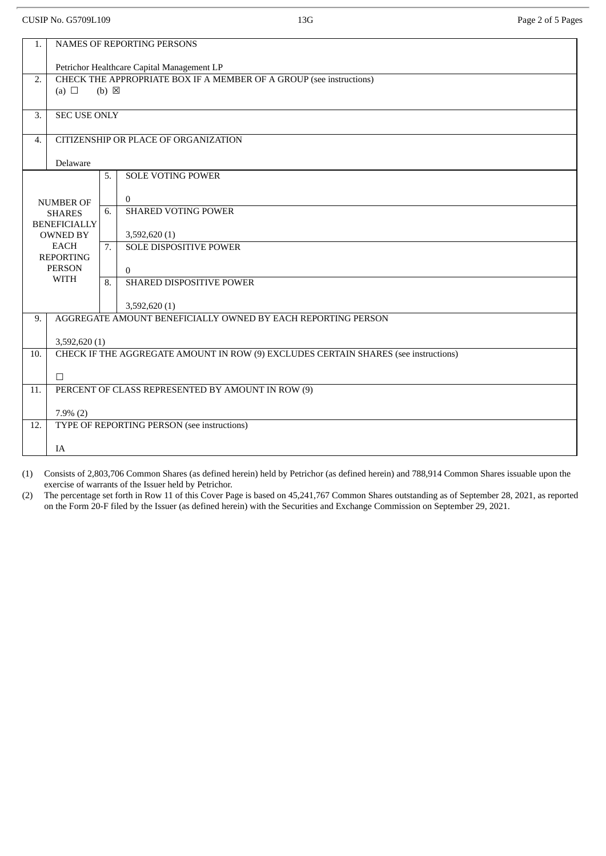CUSIP No. G5709L109 2 and 2008 13G Page 2 of 5 Pages 2 of 5 Page 2 of 5 Pages

| <b>NAMES OF REPORTING PERSONS</b><br>1.                                     |                                                                                                      |    |                               |  |
|-----------------------------------------------------------------------------|------------------------------------------------------------------------------------------------------|----|-------------------------------|--|
|                                                                             | Petrichor Healthcare Capital Management LP                                                           |    |                               |  |
| 2.                                                                          | CHECK THE APPROPRIATE BOX IF A MEMBER OF A GROUP (see instructions)<br>(a) $\Box$<br>$(b) \boxtimes$ |    |                               |  |
|                                                                             |                                                                                                      |    |                               |  |
| 3.                                                                          | <b>SEC USE ONLY</b>                                                                                  |    |                               |  |
| 4.                                                                          | CITIZENSHIP OR PLACE OF ORGANIZATION                                                                 |    |                               |  |
|                                                                             | Delaware                                                                                             |    |                               |  |
|                                                                             |                                                                                                      | 5. | <b>SOLE VOTING POWER</b>      |  |
| <b>NUMBER OF</b><br><b>SHARES</b><br><b>BENEFICIALLY</b><br><b>OWNED BY</b> |                                                                                                      |    | $\mathbf{0}$                  |  |
|                                                                             |                                                                                                      | 6. | <b>SHARED VOTING POWER</b>    |  |
|                                                                             |                                                                                                      |    | 3,592,620(1)                  |  |
| EACH<br><b>REPORTING</b>                                                    |                                                                                                      | 7. | <b>SOLE DISPOSITIVE POWER</b> |  |
|                                                                             | <b>PERSON</b><br><b>WITH</b>                                                                         |    | $\mathbf{0}$                  |  |
|                                                                             |                                                                                                      | 8. | SHARED DISPOSITIVE POWER      |  |
|                                                                             |                                                                                                      |    | 3,592,620 (1)                 |  |
| 9.                                                                          | AGGREGATE AMOUNT BENEFICIALLY OWNED BY EACH REPORTING PERSON                                         |    |                               |  |
|                                                                             | 3,592,620 (1)                                                                                        |    |                               |  |
| 10.                                                                         | CHECK IF THE AGGREGATE AMOUNT IN ROW (9) EXCLUDES CERTAIN SHARES (see instructions)                  |    |                               |  |
|                                                                             | $\Box$                                                                                               |    |                               |  |
| 11.                                                                         | PERCENT OF CLASS REPRESENTED BY AMOUNT IN ROW (9)                                                    |    |                               |  |
|                                                                             | $7.9\%$ $(2)$                                                                                        |    |                               |  |
| 12.                                                                         | TYPE OF REPORTING PERSON (see instructions)                                                          |    |                               |  |
|                                                                             | IA                                                                                                   |    |                               |  |

(1) Consists of 2,803,706 Common Shares (as defined herein) held by Petrichor (as defined herein) and 788,914 Common Shares issuable upon the exercise of warrants of the Issuer held by Petrichor.

(2) The percentage set forth in Row 11 of this Cover Page is based on 45,241,767 Common Shares outstanding as of September 28, 2021, as reported on the Form 20-F filed by the Issuer (as defined herein) with the Securities and Exchange Commission on September 29, 2021.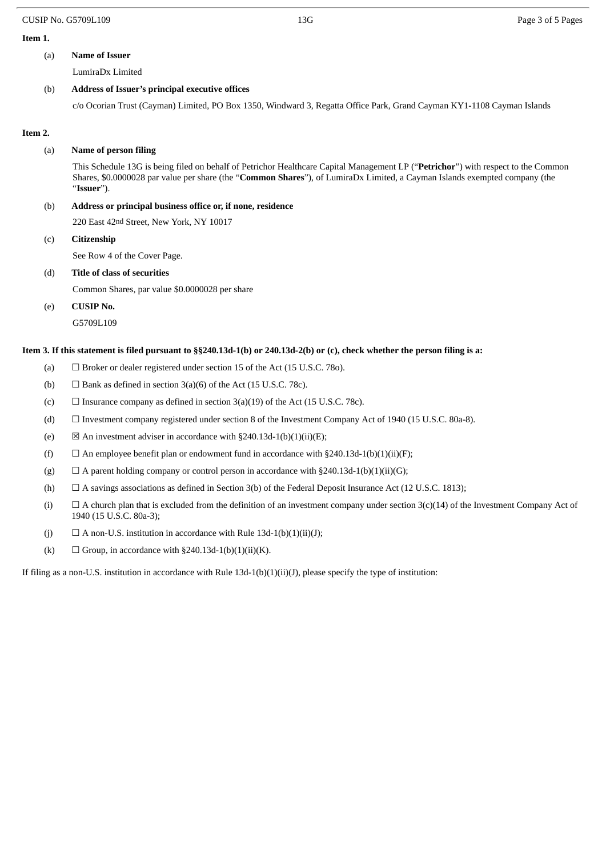#### CUSIP No. G5709L109 **13G** Page 3 of 5 Pages

#### **Item 1.**

#### (a) **Name of Issuer**

LumiraDx Limited

#### (b) **Address of Issuer's principal executive offices**

c/o Ocorian Trust (Cayman) Limited, PO Box 1350, Windward 3, Regatta Office Park, Grand Cayman KY1-1108 Cayman Islands

#### **Item 2.**

#### (a) **Name of person filing**

This Schedule 13G is being filed on behalf of Petrichor Healthcare Capital Management LP ("**Petrichor**") with respect to the Common Shares, \$0.0000028 par value per share (the "**Common Shares**"), of LumiraDx Limited, a Cayman Islands exempted company (the "**Issuer**").

#### (b) **Address or principal business office or, if none, residence**

220 East 42nd Street, New York, NY 10017

(c) **Citizenship**

See Row 4 of the Cover Page.

#### (d) **Title of class of securities**

Common Shares, par value \$0.0000028 per share

(e) **CUSIP No.**

G5709L109

#### Item 3. If this statement is filed pursuant to §§240.13d-1(b) or 240.13d-2(b) or (c), check whether the person filing is a:

- (a)  $\Box$  Broker or dealer registered under section 15 of the Act (15 U.S.C. 780).
- (b)  $\Box$  Bank as defined in section 3(a)(6) of the Act (15 U.S.C. 78c).
- (c)  $\Box$  Insurance company as defined in section 3(a)(19) of the Act (15 U.S.C. 78c).
- (d) ☐ Investment company registered under section 8 of the Investment Company Act of 1940 (15 U.S.C. 80a-8).
- (e)  $\boxtimes$  An investment adviser in accordance with §240.13d-1(b)(1)(ii)(E);
- (f)  $\Box$  An employee benefit plan or endowment fund in accordance with §240.13d-1(b)(1)(ii)(F);
- (g)  $\Box$  A parent holding company or control person in accordance with §240.13d-1(b)(1)(ii)(G);
- (h)  $\Box$  A savings associations as defined in Section 3(b) of the Federal Deposit Insurance Act (12 U.S.C. 1813);
- (i)  $\Box$  A church plan that is excluded from the definition of an investment company under section 3(c)(14) of the Investment Company Act of 1940 (15 U.S.C. 80a-3);
- (j)  $\Box$  A non-U.S. institution in accordance with Rule 13d-1(b)(1)(ii)(J);
- (k)  $\Box$  Group, in accordance with §240.13d-1(b)(1)(ii)(K).

If filing as a non-U.S. institution in accordance with Rule 13d-1(b)(1)(ii)(J), please specify the type of institution: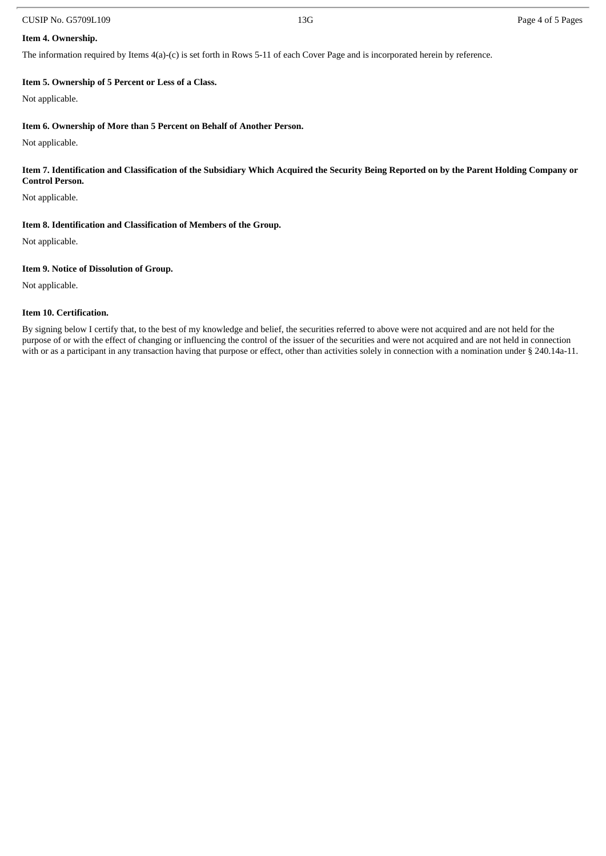#### CUSIP No. G5709L109 2012 13G Page 4 of 5 Pages 2013 13G

#### **Item 4. Ownership.**

The information required by Items 4(a)-(c) is set forth in Rows 5-11 of each Cover Page and is incorporated herein by reference.

#### **Item 5. Ownership of 5 Percent or Less of a Class.**

Not applicable.

#### **Item 6. Ownership of More than 5 Percent on Behalf of Another Person.**

Not applicable.

#### Item 7. Identification and Classification of the Subsidiary Which Acquired the Security Being Reported on by the Parent Holding Company or **Control Person.**

Not applicable.

#### **Item 8. Identification and Classification of Members of the Group.**

Not applicable.

#### **Item 9. Notice of Dissolution of Group.**

Not applicable.

#### **Item 10. Certification.**

By signing below I certify that, to the best of my knowledge and belief, the securities referred to above were not acquired and are not held for the purpose of or with the effect of changing or influencing the control of the issuer of the securities and were not acquired and are not held in connection with or as a participant in any transaction having that purpose or effect, other than activities solely in connection with a nomination under § 240.14a-11.